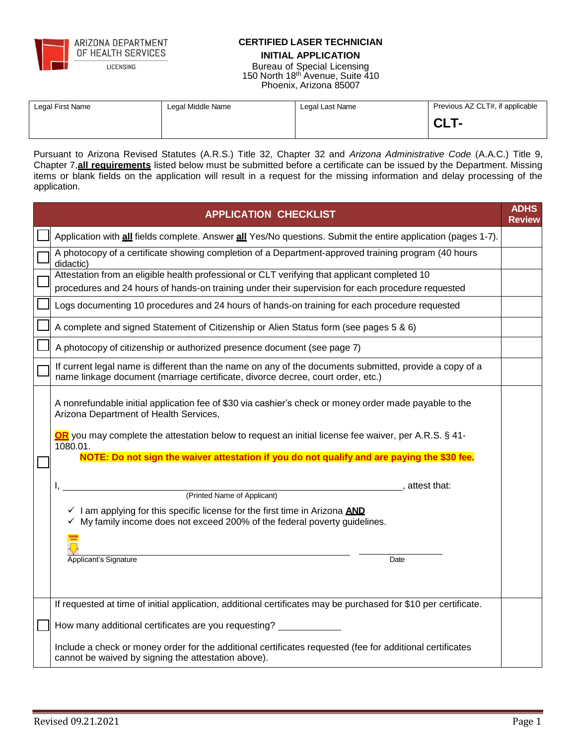

ARIZONA DEPARTMENT OF HEALTH SERVICES

LICENSING

### **CERTIFIED LASER TECHNICIAN INITIAL APPLICATION**

Bureau of Special Licensing 150 North 18th Avenue, Suite 410 Phoenix, Arizona 85007

| Legal First Name | Legal Middle Name | Legal Last Name | Previous AZ CLT#, if applicable |
|------------------|-------------------|-----------------|---------------------------------|
|                  |                   |                 | <b>CLT</b>                      |

Pursuant to Arizona Revised Statutes (A.R.S.) Title 32, Chapter 32 and *Arizona Administrative Code* (A.A.C.) Title 9, Chapter 7,**all requirements** listed below must be submitted before a certificate can be issued by the Department. Missing items or blank fields on the application will result in a request for the missing information and delay processing of the application.

| <b>APPLICATION CHECKLIST</b>                                                                                                                                                                                                                                                | <b>ADHS</b><br><b>Review</b> |
|-----------------------------------------------------------------------------------------------------------------------------------------------------------------------------------------------------------------------------------------------------------------------------|------------------------------|
| Application with all fields complete. Answer all Yes/No questions. Submit the entire application (pages 1-7).                                                                                                                                                               |                              |
| A photocopy of a certificate showing completion of a Department-approved training program (40 hours<br>didactic)                                                                                                                                                            |                              |
| Attestation from an eligible health professional or CLT verifying that applicant completed 10<br>procedures and 24 hours of hands-on training under their supervision for each procedure requested                                                                          |                              |
| Logs documenting 10 procedures and 24 hours of hands-on training for each procedure requested                                                                                                                                                                               |                              |
| A complete and signed Statement of Citizenship or Alien Status form (see pages 5 & 6)                                                                                                                                                                                       |                              |
| A photocopy of citizenship or authorized presence document (see page 7)                                                                                                                                                                                                     |                              |
| If current legal name is different than the name on any of the documents submitted, provide a copy of a<br>name linkage document (marriage certificate, divorce decree, court order, etc.)                                                                                  |                              |
| A nonrefundable initial application fee of \$30 via cashier's check or money order made payable to the<br>Arizona Department of Health Services,<br><b>OR</b> you may complete the attestation below to request an initial license fee waiver, per A.R.S. § 41-<br>1080.01. |                              |
| NOTE: Do not sign the waiver attestation if you do not qualify and are paying the \$30 fee.                                                                                                                                                                                 |                              |
| attest that:<br>(Printed Name of Applicant)<br>$\checkmark$ I am applying for this specific license for the first time in Arizona AND<br>√ My family income does not exceed 200% of the federal poverty guidelines.<br>Applicant's Signature<br>Date                        |                              |
| If requested at time of initial application, additional certificates may be purchased for \$10 per certificate.                                                                                                                                                             |                              |
| How many additional certificates are you requesting?                                                                                                                                                                                                                        |                              |
| Include a check or money order for the additional certificates requested (fee for additional certificates<br>cannot be waived by signing the attestation above).                                                                                                            |                              |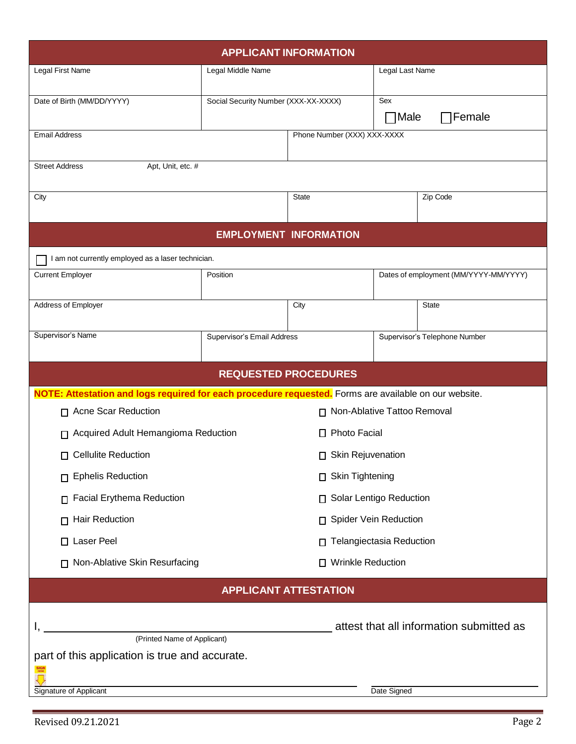| <b>APPLICANT INFORMATION</b>                                                                          |                                                       |                               |                                 |                                       |
|-------------------------------------------------------------------------------------------------------|-------------------------------------------------------|-------------------------------|---------------------------------|---------------------------------------|
| Legal First Name                                                                                      | Legal Middle Name                                     |                               | Legal Last Name                 |                                       |
| Date of Birth (MM/DD/YYYY)                                                                            | Social Security Number (XXX-XX-XXXX)                  |                               | Sex<br>$\neg$ Male              | ∏Female                               |
| <b>Email Address</b>                                                                                  |                                                       | Phone Number (XXX) XXX-XXXX   |                                 |                                       |
|                                                                                                       |                                                       |                               |                                 |                                       |
| <b>Street Address</b><br>Apt, Unit, etc. #                                                            |                                                       |                               |                                 |                                       |
| City                                                                                                  |                                                       | <b>State</b>                  |                                 | Zip Code                              |
|                                                                                                       |                                                       | <b>EMPLOYMENT INFORMATION</b> |                                 |                                       |
| I am not currently employed as a laser technician.                                                    |                                                       |                               |                                 |                                       |
| <b>Current Employer</b>                                                                               | Position                                              |                               |                                 | Dates of employment (MM/YYYY-MM/YYYY) |
| Address of Employer                                                                                   |                                                       | City                          |                                 | <b>State</b>                          |
| Supervisor's Name                                                                                     | Supervisor's Email Address                            |                               |                                 | Supervisor's Telephone Number         |
|                                                                                                       |                                                       | <b>REQUESTED PROCEDURES</b>   |                                 |                                       |
| NOTE: Attestation and logs required for each procedure requested. Forms are available on our website. |                                                       |                               |                                 |                                       |
| □ Acne Scar Reduction<br>□ Non-Ablative Tattoo Removal                                                |                                                       |                               |                                 |                                       |
|                                                                                                       | □ Photo Facial<br>Acquired Adult Hemangioma Reduction |                               |                                 |                                       |
| $\Box$ Cellulite Reduction                                                                            | □ Skin Rejuvenation                                   |                               |                                 |                                       |
| <b>Ephelis Reduction</b><br>П.                                                                        | □ Skin Tightening                                     |                               |                                 |                                       |
| <b>Facial Erythema Reduction</b><br>П.                                                                | □ Solar Lentigo Reduction                             |                               |                                 |                                       |
| Hair Reduction<br>п.                                                                                  | <b>Spider Vein Reduction</b><br>$\Box$                |                               |                                 |                                       |
| Laser Peel<br>П.                                                                                      | п                                                     |                               | <b>Telangiectasia Reduction</b> |                                       |
| Non-Ablative Skin Resurfacing<br>П.                                                                   | □ Wrinkle Reduction                                   |                               |                                 |                                       |
| <b>APPLICANT ATTESTATION</b>                                                                          |                                                       |                               |                                 |                                       |
|                                                                                                       |                                                       |                               |                                 |                                       |
| attest that all information submitted as<br>(Printed Name of Applicant)                               |                                                       |                               |                                 |                                       |
| part of this application is true and accurate.                                                        |                                                       |                               |                                 |                                       |
| Signature of Applicant<br>Date Signed                                                                 |                                                       |                               |                                 |                                       |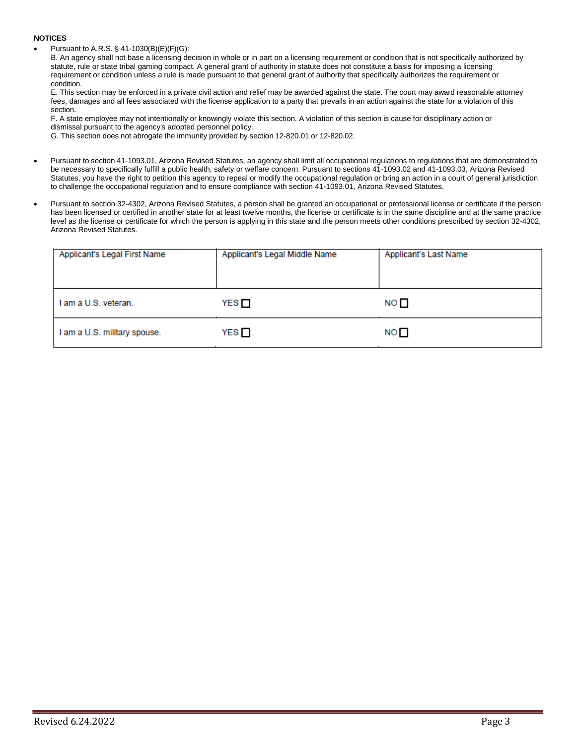#### **NOTICES**

• Pursuant to A.R.S. § 41-1030(B)(E)(F)(G):

B. An agency shall not base a licensing decision in whole or in part on a licensing requirement or condition that is not specifically authorized by statute, rule or state tribal gaming compact. A general grant of authority in statute does not constitute a basis for imposing a licensing requirement or condition unless a rule is made pursuant to that general grant of authority that specifically authorizes the requirement or condition.

E. This section may be enforced in a private civil action and relief may be awarded against the state. The court may award reasonable attorney fees, damages and all fees associated with the license application to a party that prevails in an action against the state for a violation of this section.

F. A state employee may not intentionally or knowingly violate this section. A violation of this section is cause for disciplinary action or dismissal pursuant to the agency's adopted personnel policy.

G. This section does not abrogate the immunity provided by section 12-820.01 or 12-820.02.

- Pursuant to section 41-1093.01, Arizona Revised Statutes, an agency shall limit all occupational regulations to regulations that are demonstrated to be necessary to specifically fulfill a public health, safety or welfare concern. Pursuant to sections 41-1093.02 and 41-1093.03, Arizona Revised Statutes, you have the right to petition this agency to repeal or modify the occupational regulation or bring an action in a court of general jurisdiction to challenge the occupational regulation and to ensure compliance with section 41-1093.01, Arizona Revised Statutes.
- Pursuant to section 32-4302, Arizona Revised Statutes, a person shall be granted an occupational or professional license or certificate if the person has been licensed or certified in another state for at least twelve months, the license or certificate is in the same discipline and at the same practice level as the license or certificate for which the person is applying in this state and the person meets other conditions prescribed by section 32-4302, Arizona Revised Statutes.

| Applicant's Legal First Name | Applicant's Legal Middle Name | Applicant's Last Name |
|------------------------------|-------------------------------|-----------------------|
| I am a U.S. veteran.         | YES □                         | NO D                  |
| I am a U.S. military spouse. | YES                           | NO <sub>1</sub>       |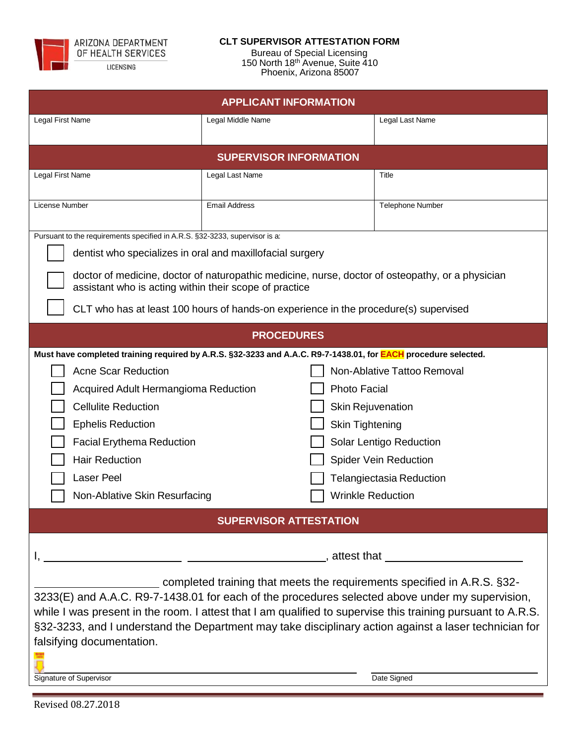

#### LICENSING

### **CLT SUPERVISOR ATTESTATION FORM**

Bureau of Special Licensing 150 North 18th Avenue, Suite 410 Phoenix, Arizona 85007

| <b>APPLICANT INFORMATION</b>                                                                                                                                                                                         |                                                                                                                       |                              |  |
|----------------------------------------------------------------------------------------------------------------------------------------------------------------------------------------------------------------------|-----------------------------------------------------------------------------------------------------------------------|------------------------------|--|
| Legal First Name                                                                                                                                                                                                     | Legal Middle Name                                                                                                     | Legal Last Name              |  |
|                                                                                                                                                                                                                      |                                                                                                                       |                              |  |
|                                                                                                                                                                                                                      | <b>SUPERVISOR INFORMATION</b>                                                                                         |                              |  |
| Legal First Name                                                                                                                                                                                                     | Legal Last Name                                                                                                       | Title                        |  |
| License Number                                                                                                                                                                                                       | <b>Email Address</b><br><b>Telephone Number</b>                                                                       |                              |  |
|                                                                                                                                                                                                                      |                                                                                                                       |                              |  |
| Pursuant to the requirements specified in A.R.S. §32-3233, supervisor is a:                                                                                                                                          |                                                                                                                       |                              |  |
| dentist who specializes in oral and maxillofacial surgery                                                                                                                                                            |                                                                                                                       |                              |  |
| doctor of medicine, doctor of naturopathic medicine, nurse, doctor of osteopathy, or a physician<br>assistant who is acting within their scope of practice                                                           |                                                                                                                       |                              |  |
| CLT who has at least 100 hours of hands-on experience in the procedure(s) supervised                                                                                                                                 |                                                                                                                       |                              |  |
|                                                                                                                                                                                                                      | <b>PROCEDURES</b>                                                                                                     |                              |  |
|                                                                                                                                                                                                                      | Must have completed training required by A.R.S. §32-3233 and A.A.C. R9-7-1438.01, for <b>EACH</b> procedure selected. |                              |  |
| <b>Acne Scar Reduction</b>                                                                                                                                                                                           |                                                                                                                       | Non-Ablative Tattoo Removal  |  |
| Acquired Adult Hermangioma Reduction                                                                                                                                                                                 |                                                                                                                       | <b>Photo Facial</b>          |  |
| <b>Cellulite Reduction</b>                                                                                                                                                                                           |                                                                                                                       | <b>Skin Rejuvenation</b>     |  |
| <b>Skin Tightening</b><br><b>Ephelis Reduction</b>                                                                                                                                                                   |                                                                                                                       |                              |  |
| <b>Facial Erythema Reduction</b><br>Solar Lentigo Reduction                                                                                                                                                          |                                                                                                                       |                              |  |
| <b>Hair Reduction</b>                                                                                                                                                                                                |                                                                                                                       | <b>Spider Vein Reduction</b> |  |
| Laser Peel                                                                                                                                                                                                           |                                                                                                                       | Telangiectasia Reduction     |  |
|                                                                                                                                                                                                                      | Non-Ablative Skin Resurfacing<br><b>Wrinkle Reduction</b>                                                             |                              |  |
|                                                                                                                                                                                                                      | <b>SUPERVISOR ATTESTATION</b>                                                                                         |                              |  |
|                                                                                                                                                                                                                      |                                                                                                                       |                              |  |
| and the state of the state of the state of the state of the state of the state of the state of the state of the                                                                                                      |                                                                                                                       |                              |  |
| completed training that meets the requirements specified in A.R.S. §32-                                                                                                                                              |                                                                                                                       |                              |  |
| 3233(E) and A.A.C. R9-7-1438.01 for each of the procedures selected above under my supervision,                                                                                                                      |                                                                                                                       |                              |  |
| while I was present in the room. I attest that I am qualified to supervise this training pursuant to A.R.S.<br>§32-3233, and I understand the Department may take disciplinary action against a laser technician for |                                                                                                                       |                              |  |
| falsifying documentation.                                                                                                                                                                                            |                                                                                                                       |                              |  |
|                                                                                                                                                                                                                      |                                                                                                                       |                              |  |
| Signature of Supervisor<br>Date Signed                                                                                                                                                                               |                                                                                                                       |                              |  |
|                                                                                                                                                                                                                      |                                                                                                                       |                              |  |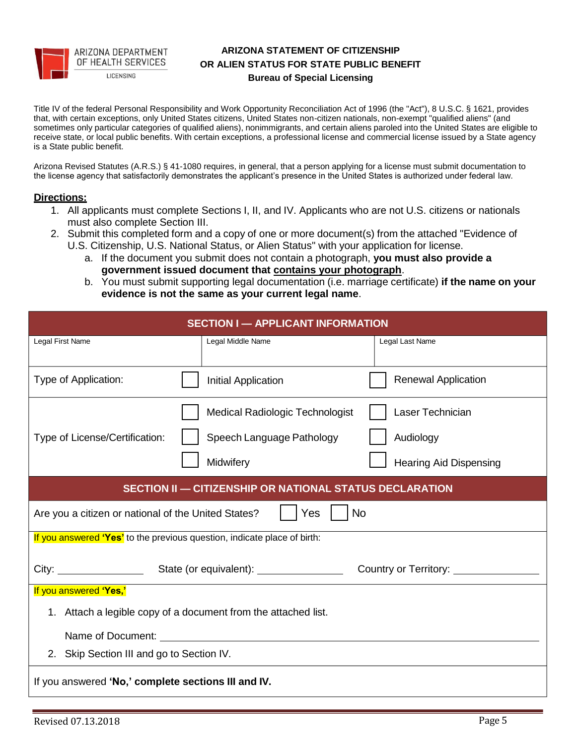

## **ARIZONA STATEMENT OF CITIZENSHIP OR ALIEN STATUS FOR STATE PUBLIC BENEFIT Bureau of Special Licensing**

Title IV of the federal Personal Responsibility and Work Opportunity Reconciliation Act of 1996 (the "Act"), 8 U.S.C. § 1621, provides that, with certain exceptions, only United States citizens, United States non-citizen nationals, non-exempt "qualified aliens" (and sometimes only particular categories of qualified aliens), nonimmigrants, and certain aliens paroled into the United States are eligible to receive state, or local public benefits. With certain exceptions, a professional license and commercial license issued by a State agency is a State public benefit.

Arizona Revised Statutes (A.R.S.) § 41-1080 requires, in general, that a person applying for a license must submit documentation to the license agency that satisfactorily demonstrates the applicant's presence in the United States is authorized under federal law.

#### **Directions:**

- 1. All applicants must complete Sections I, II, and IV. Applicants who are not U.S. citizens or nationals must also complete Section III.
- 2. Submit this completed form and a copy of one or more document(s) from the attached "Evidence of U.S. Citizenship, U.S. National Status, or Alien Status" with your application for license.
	- a. If the document you submit does not contain a photograph, **you must also provide a government issued document that contains your photograph**.
	- b. You must submit supporting legal documentation (i.e. marriage certificate) **if the name on your evidence is not the same as your current legal name**.

| <b>SECTION I - APPLICANT INFORMATION</b>                                 |                                                                |                               |  |
|--------------------------------------------------------------------------|----------------------------------------------------------------|-------------------------------|--|
| Legal First Name                                                         | Legal Middle Name                                              | Legal Last Name               |  |
| Type of Application:                                                     | Initial Application                                            | <b>Renewal Application</b>    |  |
|                                                                          | Medical Radiologic Technologist                                | Laser Technician              |  |
| Type of License/Certification:                                           | Speech Language Pathology                                      | Audiology                     |  |
|                                                                          | Midwifery                                                      | <b>Hearing Aid Dispensing</b> |  |
|                                                                          | <b>SECTION II - CITIZENSHIP OR NATIONAL STATUS DECLARATION</b> |                               |  |
| Are you a citizen or national of the United States?                      | Yes                                                            | <b>No</b>                     |  |
| If you answered 'Yes' to the previous question, indicate place of birth: |                                                                |                               |  |
|                                                                          |                                                                | Country or Territory:         |  |
| If you answered 'Yes,'                                                   |                                                                |                               |  |
| 1. Attach a legible copy of a document from the attached list.           |                                                                |                               |  |
|                                                                          |                                                                |                               |  |
| 2. Skip Section III and go to Section IV.                                |                                                                |                               |  |
| If you answered 'No,' complete sections III and IV.                      |                                                                |                               |  |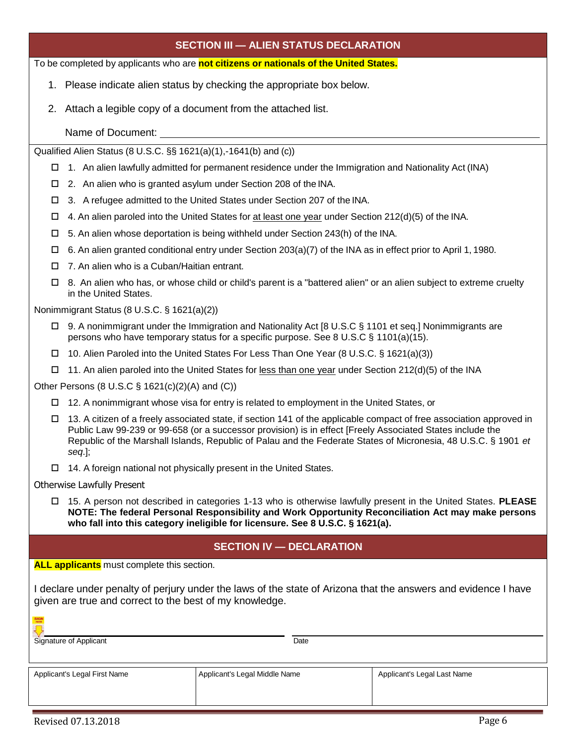To be completed by applicants who are **not citizens or nationals of the United States.**

- 1. Please indicate alien status by checking the appropriate box below.
- 2. Attach a legible copy of a document from the attached list.
	- Name of Document:

Qualified Alien Status (8 U.S.C. §§ 1621(a)(1),-1641(b) and (c))

- $\Box$  1. An alien lawfully admitted for permanent residence under the Immigration and Nationality Act (INA)
- □ 2. An alien who is granted asylum under Section 208 of the INA.
- □ 3. A refugee admitted to the United States under Section 207 of the INA.
- $\Box$  4. An alien paroled into the United States for at least one year under Section 212(d)(5) of the INA.
- $\square$  5. An alien whose deportation is being withheld under Section 243(h) of the INA.
- $\Box$  6. An alien granted conditional entry under Section 203(a)(7) of the INA as in effect prior to April 1, 1980.
- □ 7. An alien who is a Cuban/Haitian entrant.
- $\Box$  8. An alien who has, or whose child or child's parent is a "battered alien" or an alien subject to extreme cruelty in the United States.

Nonimmigrant Status (8 U.S.C. § 1621(a)(2))

- 9. A nonimmigrant under the Immigration and Nationality Act [8 U.S.C § 1101 et seq.] Nonimmigrants are persons who have temporary status for a specific purpose. See 8 U.S.C § 1101(a)(15).
- 10. Alien Paroled into the United States For Less Than One Year (8 U.S.C. § 1621(a)(3))
- $\Box$  11. An alien paroled into the United States for less than one year under Section 212(d)(5) of the INA

Other Persons (8 U.S.C § 1621(c)(2)(A) and (C))

- $\Box$  12. A nonimmigrant whose visa for entry is related to employment in the United States, or
- $\Box$  13. A citizen of a freely associated state, if section 141 of the applicable compact of free association approved in Public Law 99-239 or 99-658 (or a successor provision) is in effect [Freely Associated States include the Republic of the Marshall Islands, Republic of Palau and the Federate States of Micronesia, 48 U.S.C. § 1901 *et seq*.];
- $\Box$  14. A foreign national not physically present in the United States.

Otherwise Lawfully Present

 15. A person not described in categories 1-13 who is otherwise lawfully present in the United States. **PLEASE NOTE: The federal Personal Responsibility and Work Opportunity Reconciliation Act may make persons who fall into this category ineligible for licensure. See 8 U.S.C. § 1621(a).**

# **SECTION IV — DECLARATION**

**ALL applicants** must complete this section.

I declare under penalty of perjury under the laws of the state of Arizona that the answers and evidence I have given are true and correct to the best of my knowledge.

| <b>SIGN</b><br>Signature of Applicant | Date                          |                             |
|---------------------------------------|-------------------------------|-----------------------------|
| Applicant's Legal First Name          | Applicant's Legal Middle Name | Applicant's Legal Last Name |